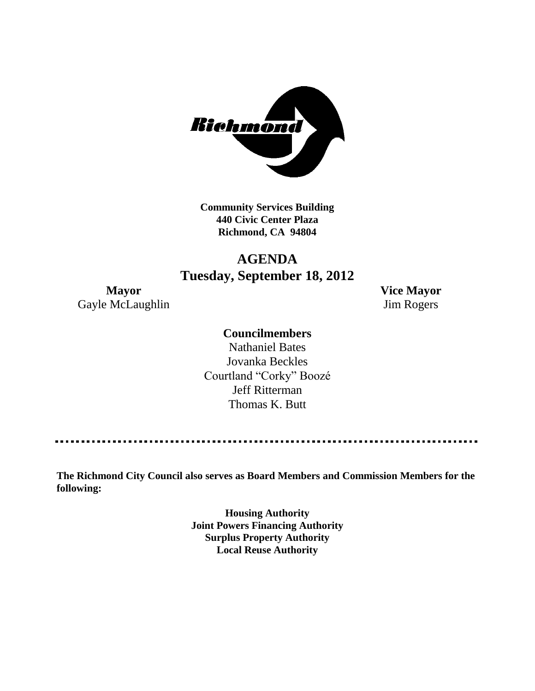

**Community Services Building 440 Civic Center Plaza Richmond, CA 94804**

# **AGENDA Tuesday, September 18, 2012**

Gayle McLaughlin Jim Rogers

**Mayor Vice Mayor**

# **Councilmembers**

Nathaniel Bates Jovanka Beckles Courtland "Corky" Boozé Jeff Ritterman Thomas K. Butt

**The Richmond City Council also serves as Board Members and Commission Members for the following:**

> **Housing Authority Joint Powers Financing Authority Surplus Property Authority Local Reuse Authority**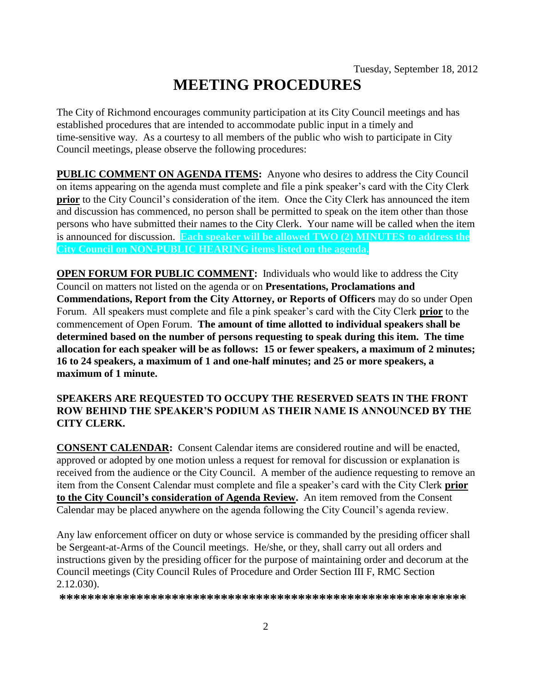# **MEETING PROCEDURES**

The City of Richmond encourages community participation at its City Council meetings and has established procedures that are intended to accommodate public input in a timely and time-sensitive way. As a courtesy to all members of the public who wish to participate in City Council meetings, please observe the following procedures:

**PUBLIC COMMENT ON AGENDA ITEMS:** Anyone who desires to address the City Council on items appearing on the agenda must complete and file a pink speaker's card with the City Clerk **prior** to the City Council's consideration of the item. Once the City Clerk has announced the item and discussion has commenced, no person shall be permitted to speak on the item other than those persons who have submitted their names to the City Clerk. Your name will be called when the item is announced for discussion. **Each speaker will be allowed TWO (2) MINUTES to address the City Council on NON-PUBLIC HEARING items listed on the agenda.**

**OPEN FORUM FOR PUBLIC COMMENT:** Individuals who would like to address the City Council on matters not listed on the agenda or on **Presentations, Proclamations and Commendations, Report from the City Attorney, or Reports of Officers** may do so under Open Forum. All speakers must complete and file a pink speaker's card with the City Clerk **prior** to the commencement of Open Forum. **The amount of time allotted to individual speakers shall be determined based on the number of persons requesting to speak during this item. The time allocation for each speaker will be as follows: 15 or fewer speakers, a maximum of 2 minutes; 16 to 24 speakers, a maximum of 1 and one-half minutes; and 25 or more speakers, a maximum of 1 minute.**

#### **SPEAKERS ARE REQUESTED TO OCCUPY THE RESERVED SEATS IN THE FRONT ROW BEHIND THE SPEAKER'S PODIUM AS THEIR NAME IS ANNOUNCED BY THE CITY CLERK.**

**CONSENT CALENDAR:** Consent Calendar items are considered routine and will be enacted, approved or adopted by one motion unless a request for removal for discussion or explanation is received from the audience or the City Council. A member of the audience requesting to remove an item from the Consent Calendar must complete and file a speaker's card with the City Clerk **prior to the City Council's consideration of Agenda Review.** An item removed from the Consent Calendar may be placed anywhere on the agenda following the City Council's agenda review.

Any law enforcement officer on duty or whose service is commanded by the presiding officer shall be Sergeant-at-Arms of the Council meetings. He/she, or they, shall carry out all orders and instructions given by the presiding officer for the purpose of maintaining order and decorum at the Council meetings (City Council Rules of Procedure and Order Section III F, RMC Section 2.12.030).

**\*\*\*\*\*\*\*\*\*\*\*\*\*\*\*\*\*\*\*\*\*\*\*\*\*\*\*\*\*\*\*\*\*\*\*\*\*\*\*\*\*\*\*\*\*\*\*\*\*\*\*\*\*\*\*\*\*\***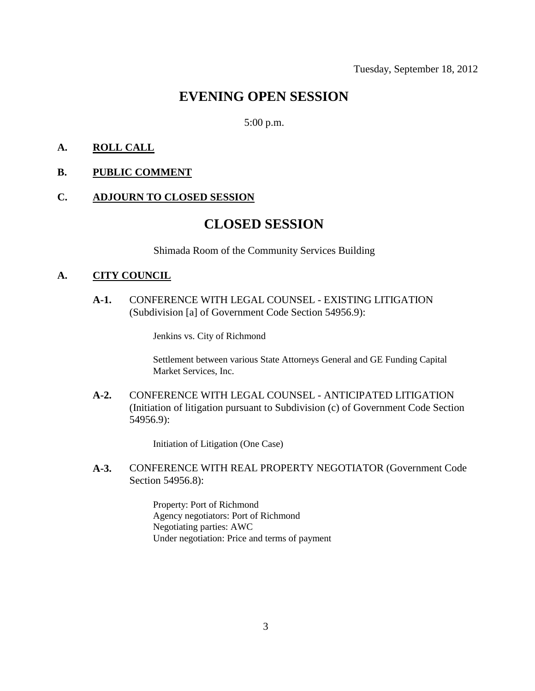# **EVENING OPEN SESSION**

#### 5:00 p.m.

#### **A. ROLL CALL**

#### **B. PUBLIC COMMENT**

#### **C. ADJOURN TO CLOSED SESSION**

# **CLOSED SESSION**

Shimada Room of the Community Services Building

#### **A. CITY COUNCIL**

**A-1.** CONFERENCE WITH LEGAL COUNSEL - EXISTING LITIGATION (Subdivision [a] of Government Code Section 54956.9):

Jenkins vs. City of Richmond

Settlement between various State Attorneys General and GE Funding Capital Market Services, Inc.

**A-2.** CONFERENCE WITH LEGAL COUNSEL - ANTICIPATED LITIGATION (Initiation of litigation pursuant to Subdivision (c) of Government Code Section 54956.9):

Initiation of Litigation (One Case)

#### **A-3.** CONFERENCE WITH REAL PROPERTY NEGOTIATOR (Government Code Section 54956.8):

Property: Port of Richmond Agency negotiators: Port of Richmond Negotiating parties: AWC Under negotiation: Price and terms of payment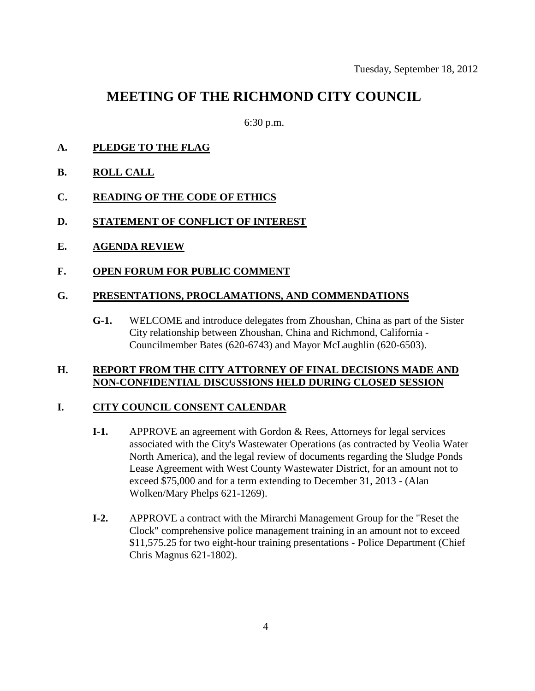# **MEETING OF THE RICHMOND CITY COUNCIL**

6:30 p.m.

- **A. PLEDGE TO THE FLAG**
- **B. ROLL CALL**
- **C. READING OF THE CODE OF ETHICS**
- **D. STATEMENT OF CONFLICT OF INTEREST**
- **E. AGENDA REVIEW**
- **F. OPEN FORUM FOR PUBLIC COMMENT**

#### **G. PRESENTATIONS, PROCLAMATIONS, AND COMMENDATIONS**

**G-1.** WELCOME and introduce delegates from Zhoushan, China as part of the Sister City relationship between Zhoushan, China and Richmond, California - Councilmember Bates (620-6743) and Mayor McLaughlin (620-6503).

#### **H. REPORT FROM THE CITY ATTORNEY OF FINAL DECISIONS MADE AND NON-CONFIDENTIAL DISCUSSIONS HELD DURING CLOSED SESSION**

#### **I. CITY COUNCIL CONSENT CALENDAR**

- **I-1.** APPROVE an agreement with Gordon & Rees, Attorneys for legal services associated with the City's Wastewater Operations (as contracted by Veolia Water North America), and the legal review of documents regarding the Sludge Ponds Lease Agreement with West County Wastewater District, for an amount not to exceed \$75,000 and for a term extending to December 31, 2013 - (Alan Wolken/Mary Phelps 621-1269).
- **I-2.** APPROVE a contract with the Mirarchi Management Group for the "Reset the Clock" comprehensive police management training in an amount not to exceed \$11,575.25 for two eight-hour training presentations - Police Department (Chief Chris Magnus 621-1802).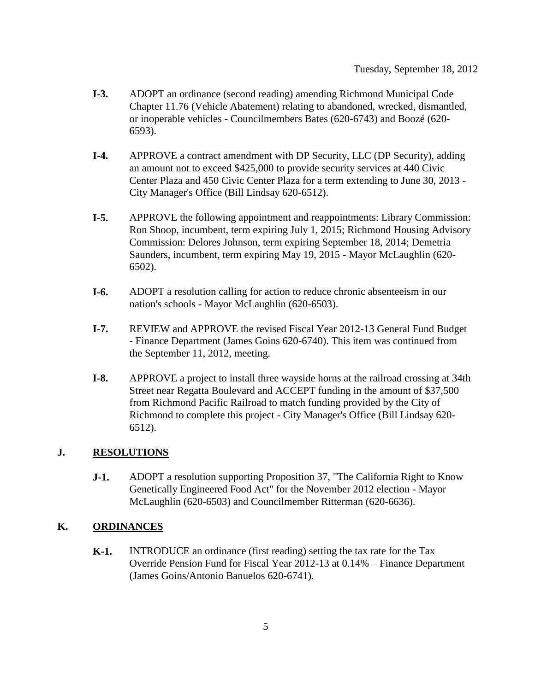- **I-3.** ADOPT an ordinance (second reading) amending Richmond Municipal Code Chapter 11.76 (Vehicle Abatement) relating to abandoned, wrecked, dismantled, or inoperable vehicles - Councilmembers Bates (620-6743) and Boozé (620- 6593).
- **I-4.** APPROVE a contract amendment with DP Security, LLC (DP Security), adding an amount not to exceed \$425,000 to provide security services at 440 Civic Center Plaza and 450 Civic Center Plaza for a term extending to June 30, 2013 - City Manager's Office (Bill Lindsay 620-6512).
- **I-5.** APPROVE the following appointment and reappointments: Library Commission: Ron Shoop, incumbent, term expiring July 1, 2015; Richmond Housing Advisory Commission: Delores Johnson, term expiring September 18, 2014; Demetria Saunders, incumbent, term expiring May 19, 2015 - Mayor McLaughlin (620- 6502).
- **I-6.** ADOPT a resolution calling for action to reduce chronic absenteeism in our nation's schools - Mayor McLaughlin (620-6503).
- **I-7.** REVIEW and APPROVE the revised Fiscal Year 2012-13 General Fund Budget - Finance Department (James Goins 620-6740). This item was continued from the September 11, 2012, meeting.
- **I-8.** APPROVE a project to install three wayside horns at the railroad crossing at 34th Street near Regatta Boulevard and ACCEPT funding in the amount of \$37,500 from Richmond Pacific Railroad to match funding provided by the City of Richmond to complete this project - City Manager's Office (Bill Lindsay 620- 6512).

## **J. RESOLUTIONS**

**J-1.** ADOPT a resolution supporting Proposition 37, "The California Right to Know Genetically Engineered Food Act" for the November 2012 election - Mayor McLaughlin (620-6503) and Councilmember Ritterman (620-6636).

#### **K. ORDINANCES**

**K-1.** INTRODUCE an ordinance (first reading) setting the tax rate for the Tax Override Pension Fund for Fiscal Year 2012-13 at 0.14% – Finance Department (James Goins/Antonio Banuelos 620-6741).